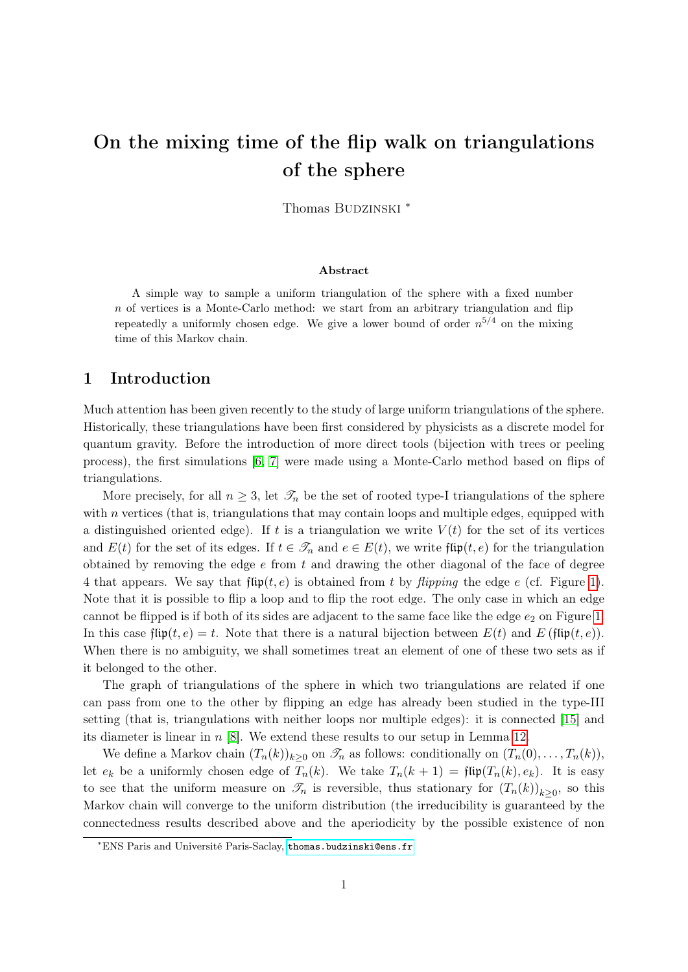# On the mixing time of the flip walk on triangulations of the sphere

Thomas BUDZINSKI \*

#### Abstract

A simple way to sample a uniform triangulation of the sphere with a fixed number  $n$  of vertices is a Monte-Carlo method: we start from an arbitrary triangulation and flip repeatedly a uniformly chosen edge. We give a lower bound of order  $n^{5/4}$  on the mixing time of this Markov chain.

### 1 Introduction

Much attention has been given recently to the study of large uniform triangulations of the sphere. Historically, these triangulations have been first considered by physicists as a discrete model for quantum gravity. Before the introduction of more direct tools (bijection with trees or peeling process), the first simulations [\[6,](#page-9-0) [7\]](#page-9-1) were made using a Monte-Carlo method based on flips of triangulations.

More precisely, for all  $n \geq 3$ , let  $\mathcal{T}_n$  be the set of rooted type-I triangulations of the sphere with  $n$  vertices (that is, triangulations that may contain loops and multiple edges, equipped with a distinguished oriented edge). If t is a triangulation we write  $V(t)$  for the set of its vertices and  $E(t)$  for the set of its edges. If  $t \in \mathcal{T}_n$  and  $e \in E(t)$ , we write flip $(t, e)$  for the triangulation obtained by removing the edge  $e$  from  $t$  and drawing the other diagonal of the face of degree 4 that appears. We say that  $\text{flip}(t, e)$  is obtained from t by flipping the edge e (cf. Figure [1\)](#page-1-0). Note that it is possible to flip a loop and to flip the root edge. The only case in which an edge cannot be flipped is if both of its sides are adjacent to the same face like the edge  $e_2$  on Figure [1.](#page-1-0) In this case flip(t, e) = t. Note that there is a natural bijection between  $E(t)$  and  $E$  (flip(t, e)). When there is no ambiguity, we shall sometimes treat an element of one of these two sets as if it belonged to the other.

The graph of triangulations of the sphere in which two triangulations are related if one can pass from one to the other by flipping an edge has already been studied in the type-III setting (that is, triangulations with neither loops nor multiple edges): it is connected [\[15\]](#page-9-2) and its diameter is linear in  $n$  [\[8\]](#page-9-3). We extend these results to our setup in Lemma [12.](#page-8-0)

We define a Markov chain  $(T_n(k))_{k>0}$  on  $\mathscr{T}_n$  as follows: conditionally on  $(T_n(0), \ldots, T_n(k))$ , let  $e_k$  be a uniformly chosen edge of  $T_n(k)$ . We take  $T_n(k+1) = \text{flip}(T_n(k), e_k)$ . It is easy to see that the uniform measure on  $\mathcal{I}_n$  is reversible, thus stationary for  $(T_n(k))_{k\geq 0}$ , so this Markov chain will converge to the uniform distribution (the irreducibility is guaranteed by the connectedness results described above and the aperiodicity by the possible existence of non

<sup>∗</sup>ENS Paris and Université Paris-Saclay, <thomas.budzinski@ens.fr>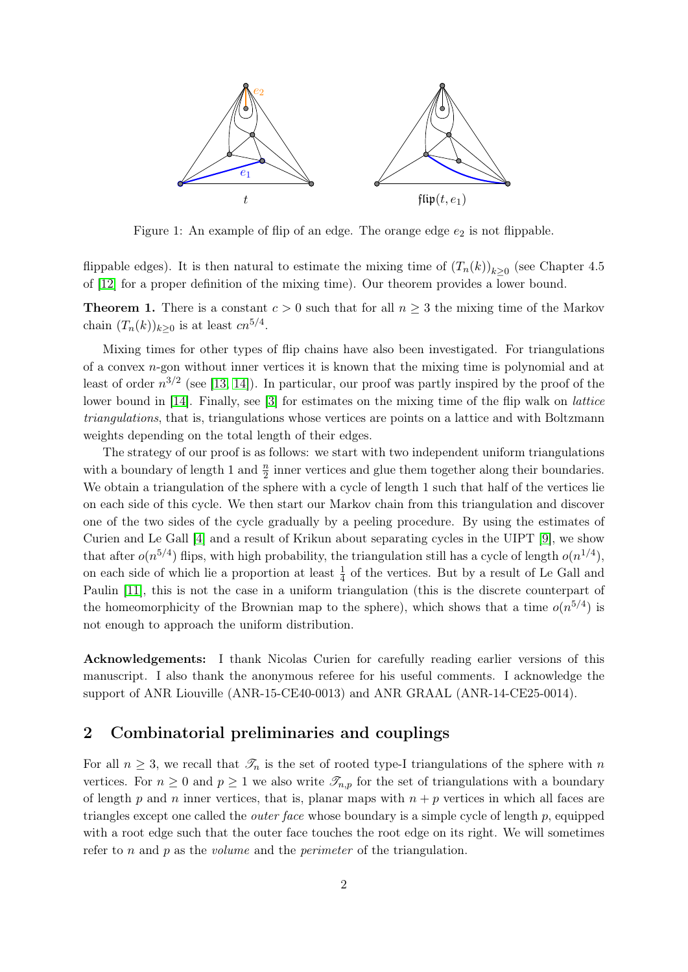

<span id="page-1-0"></span>Figure 1: An example of flip of an edge. The orange edge  $e_2$  is not flippable.

flippable edges). It is then natural to estimate the mixing time of  $(T_n(k))_{k\geq 0}$  (see Chapter 4.5) of [\[12\]](#page-9-4) for a proper definition of the mixing time). Our theorem provides a lower bound.

<span id="page-1-1"></span>**Theorem 1.** There is a constant  $c > 0$  such that for all  $n \geq 3$  the mixing time of the Markov chain  $(T_n(k))_{k\geq 0}$  is at least  $cn^{5/4}$ .

Mixing times for other types of flip chains have also been investigated. For triangulations of a convex n-gon without inner vertices it is known that the mixing time is polynomial and at least of order  $n^{3/2}$  (see [\[13,](#page-9-5) [14\]](#page-9-6)). In particular, our proof was partly inspired by the proof of the lower bound in [\[14\]](#page-9-6). Finally, see [\[3\]](#page-9-7) for estimates on the mixing time of the flip walk on lattice triangulations, that is, triangulations whose vertices are points on a lattice and with Boltzmann weights depending on the total length of their edges.

The strategy of our proof is as follows: we start with two independent uniform triangulations with a boundary of length 1 and  $\frac{n}{2}$  inner vertices and glue them together along their boundaries. We obtain a triangulation of the sphere with a cycle of length 1 such that half of the vertices lie on each side of this cycle. We then start our Markov chain from this triangulation and discover one of the two sides of the cycle gradually by a peeling procedure. By using the estimates of Curien and Le Gall [\[4\]](#page-9-8) and a result of Krikun about separating cycles in the UIPT [\[9\]](#page-9-9), we show that after  $o(n^{5/4})$  flips, with high probability, the triangulation still has a cycle of length  $o(n^{1/4})$ , on each side of which lie a proportion at least  $\frac{1}{4}$  of the vertices. But by a result of Le Gall and Paulin [\[11\]](#page-9-10), this is not the case in a uniform triangulation (this is the discrete counterpart of the homeomorphicity of the Brownian map to the sphere), which shows that a time  $o(n^{5/4})$  is not enough to approach the uniform distribution.

Acknowledgements: I thank Nicolas Curien for carefully reading earlier versions of this manuscript. I also thank the anonymous referee for his useful comments. I acknowledge the support of ANR Liouville (ANR-15-CE40-0013) and ANR GRAAL (ANR-14-CE25-0014).

## 2 Combinatorial preliminaries and couplings

For all  $n \geq 3$ , we recall that  $\mathcal{T}_n$  is the set of rooted type-I triangulations of the sphere with n vertices. For  $n \geq 0$  and  $p \geq 1$  we also write  $\mathscr{T}_{n,p}$  for the set of triangulations with a boundary of length p and n inner vertices, that is, planar maps with  $n + p$  vertices in which all faces are triangles except one called the outer face whose boundary is a simple cycle of length p, equipped with a root edge such that the outer face touches the root edge on its right. We will sometimes refer to *n* and *p* as the *volume* and the *perimeter* of the triangulation.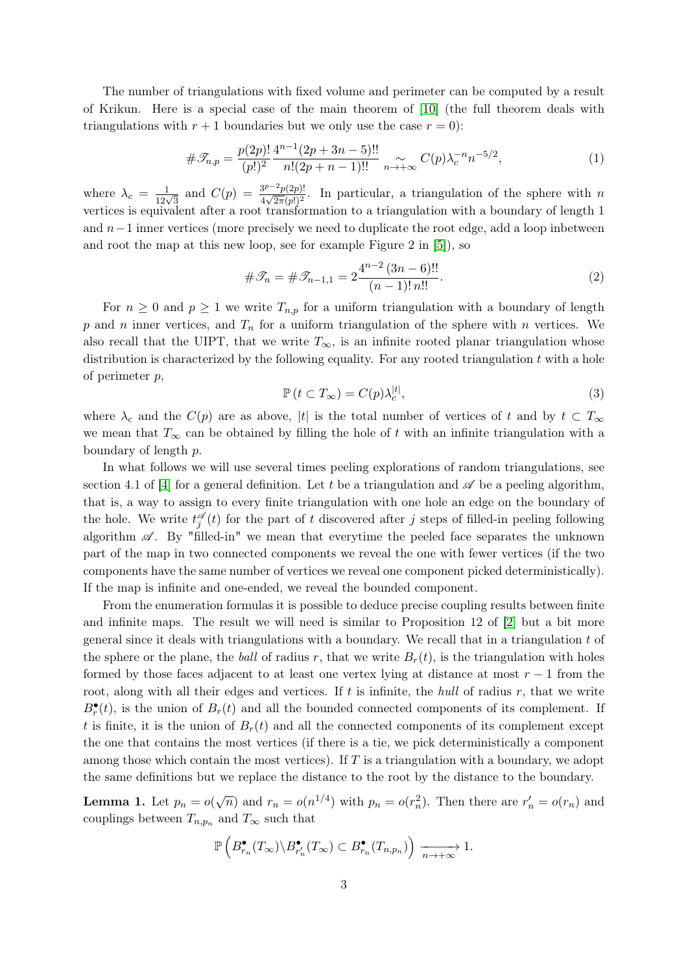The number of triangulations with fixed volume and perimeter can be computed by a result of Krikun. Here is a special case of the main theorem of [\[10\]](#page-9-11) (the full theorem deals with triangulations with  $r + 1$  boundaries but we only use the case  $r = 0$ :

<span id="page-2-1"></span>
$$
\#\mathcal{T}_{n,p} = \frac{p(2p)!}{(p!)^2} \frac{4^{n-1}(2p+3n-5)!!}{n!(2p+n-1)!!} \underset{n \to +\infty}{\sim} C(p)\lambda_c^{-n}n^{-5/2},\tag{1}
$$

where  $\lambda_c = \frac{1}{12\sqrt{3}}$  and  $C(p) = \frac{3^{p-2}p(2p)!}{4\sqrt{2\pi}(p!)^2}$  $\frac{\partial^2 P^2}{\partial q^2}$ . In particular, a triangulation of the sphere with n vertices is equivalent after a root transformation to a triangulation with a boundary of length 1 and  $n-1$  inner vertices (more precisely we need to duplicate the root edge, add a loop inbetween and root the map at this new loop, see for example Figure 2 in [\[5\]](#page-9-12)), so

<span id="page-2-2"></span>
$$
\#\mathcal{F}_n = \#\mathcal{F}_{n-1,1} = 2 \frac{4^{n-2} (3n-6)!!}{(n-1)! n!!}.
$$
\n(2)

For  $n \geq 0$  and  $p \geq 1$  we write  $T_{n,p}$  for a uniform triangulation with a boundary of length p and n inner vertices, and  $T_n$  for a uniform triangulation of the sphere with n vertices. We also recall that the UIPT, that we write  $T_{\infty}$ , is an infinite rooted planar triangulation whose distribution is characterized by the following equality. For any rooted triangulation  $t$  with a hole of perimeter p,

<span id="page-2-3"></span>
$$
\mathbb{P}\left(t \subset T_{\infty}\right) = C(p)\lambda_c^{|t|},\tag{3}
$$

where  $\lambda_c$  and the  $C(p)$  are as above, |t| is the total number of vertices of t and by  $t \subset T_\infty$ we mean that  $T_{\infty}$  can be obtained by filling the hole of t with an infinite triangulation with a boundary of length p.

In what follows we will use several times peeling explorations of random triangulations, see section 4.1 of [\[4\]](#page-9-8) for a general definition. Let t be a triangulation and  $\mathscr A$  be a peeling algorithm, that is, a way to assign to every finite triangulation with one hole an edge on the boundary of the hole. We write  $t_j^{\mathscr{A}}(t)$  for the part of t discovered after j steps of filled-in peeling following algorithm  $\mathscr{A}$ . By "filled-in" we mean that everytime the peeled face separates the unknown part of the map in two connected components we reveal the one with fewer vertices (if the two components have the same number of vertices we reveal one component picked deterministically). If the map is infinite and one-ended, we reveal the bounded component.

From the enumeration formulas it is possible to deduce precise coupling results between finite and infinite maps. The result we will need is similar to Proposition 12 of [\[2\]](#page-8-1) but a bit more general since it deals with triangulations with a boundary. We recall that in a triangulation  $t$  of the sphere or the plane, the ball of radius r, that we write  $B_r(t)$ , is the triangulation with holes formed by those faces adjacent to at least one vertex lying at distance at most  $r-1$  from the root, along with all their edges and vertices. If  $t$  is infinite, the hull of radius  $r$ , that we write  $B_r^{\bullet}(t)$ , is the union of  $B_r(t)$  and all the bounded connected components of its complement. If t is finite, it is the union of  $B<sub>r</sub>(t)$  and all the connected components of its complement except the one that contains the most vertices (if there is a tie, we pick deterministically a component among those which contain the most vertices). If  $T$  is a triangulation with a boundary, we adopt the same definitions but we replace the distance to the root by the distance to the boundary.

<span id="page-2-0"></span>**Lemma 1.** Let  $p_n = o(\sqrt{n})$  and  $r_n = o(n^{1/4})$  with  $p_n = o(r_n^2)$ . Then there are  $r'_n = o(r_n)$  and couplings between  $T_{n,p_n}$  and  $T_{\infty}$  such that

$$
\mathbb{P}\left(B_{r_n}^{\bullet}(T_{\infty})\backslash B_{r'_n}^{\bullet}(T_{\infty})\subset B_{r_n}^{\bullet}(T_{n,p_n})\right)\xrightarrow[n\to+\infty]{}1.
$$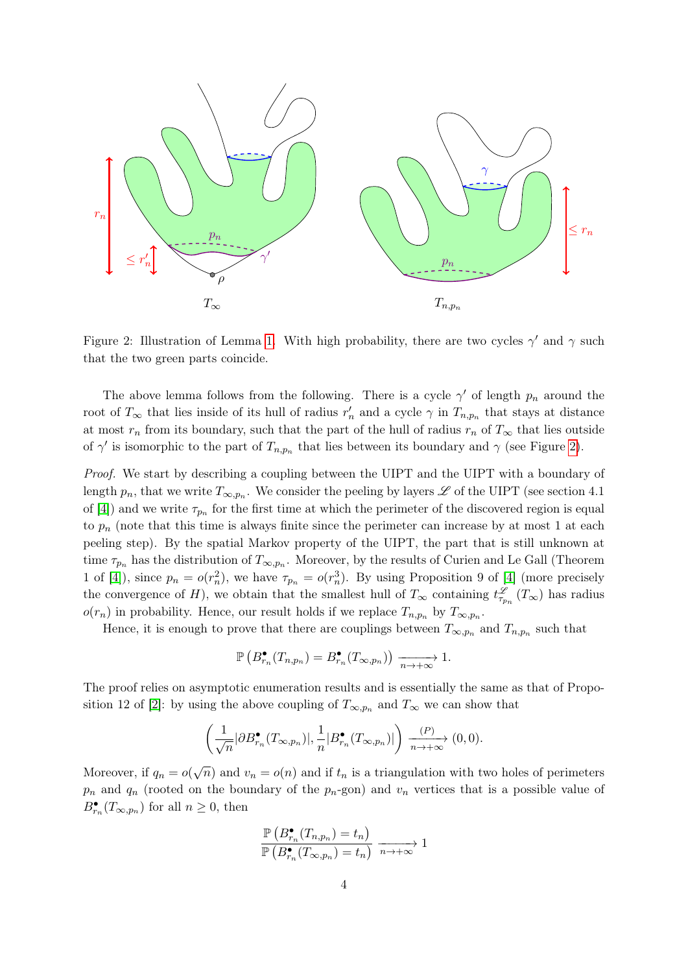

<span id="page-3-0"></span>Figure 2: Illustration of Lemma [1.](#page-2-0) With high probability, there are two cycles  $\gamma'$  and  $\gamma$  such that the two green parts coincide.

The above lemma follows from the following. There is a cycle  $\gamma'$  of length  $p_n$  around the root of  $T_{\infty}$  that lies inside of its hull of radius  $r'_n$  and a cycle  $\gamma$  in  $T_{n,p_n}$  that stays at distance at most  $r_n$  from its boundary, such that the part of the hull of radius  $r_n$  of  $T_\infty$  that lies outside of  $\gamma'$  is isomorphic to the part of  $T_{n,p_n}$  that lies between its boundary and  $\gamma$  (see Figure [2\)](#page-3-0).

Proof. We start by describing a coupling between the UIPT and the UIPT with a boundary of length  $p_n$ , that we write  $T_{\infty,p_n}$ . We consider the peeling by layers  $\mathscr L$  of the UIPT (see section 4.1 of [\[4\]](#page-9-8)) and we write  $\tau_{p_n}$  for the first time at which the perimeter of the discovered region is equal to  $p_n$  (note that this time is always finite since the perimeter can increase by at most 1 at each peeling step). By the spatial Markov property of the UIPT, the part that is still unknown at time  $\tau_{p_n}$  has the distribution of  $T_{\infty,p_n}$ . Moreover, by the results of Curien and Le Gall (Theorem 1 of [\[4\]](#page-9-8)), since  $p_n = o(r_n^2)$ , we have  $\tau_{p_n} = o(r_n^3)$ . By using Proposition 9 of [4] (more precisely the convergence of H), we obtain that the smallest hull of  $T_{\infty}$  containing  $t_{\tau_{p_n}}^{\mathscr{L}}(T_{\infty})$  has radius  $o(r_n)$  in probability. Hence, our result holds if we replace  $T_{n,p_n}$  by  $T_{\infty,p_n}$ .

Hence, it is enough to prove that there are couplings between  $T_{\infty,p_n}$  and  $T_{n,p_n}$  such that

$$
\mathbb{P}\left(B_{r_n}^{\bullet}(T_{n,p_n})=B_{r_n}^{\bullet}(T_{\infty,p_n})\right)\xrightarrow[n\to+\infty]{}1.
$$

The proof relies on asymptotic enumeration results and is essentially the same as that of Propo-sition 12 of [\[2\]](#page-8-1): by using the above coupling of  $T_{\infty,p_n}$  and  $T_{\infty}$  we can show that

$$
\left(\frac{1}{\sqrt{n}}|\partial B_{r_n}^{\bullet}(T_{\infty,p_n})|, \frac{1}{n}|B_{r_n}^{\bullet}(T_{\infty,p_n})|\right) \xrightarrow[n \to +\infty]{(P)} (0,0).
$$

Moreover, if  $q_n = o(\sqrt{n})$  and  $v_n = o(n)$  and if  $t_n$  is a triangulation with two holes of perimeters  $p_n$  and  $q_n$  (rooted on the boundary of the  $p_n$ -gon) and  $v_n$  vertices that is a possible value of  $B_{r_n}^{\bullet}(T_{\infty,p_n})$  for all  $n \geq 0$ , then

$$
\frac{\mathbb{P}\left(B_{r_n}^{\bullet}(T_{n,p_n})=t_n\right)}{\mathbb{P}\left(B_{r_n}^{\bullet}(T_{\infty,p_n})=t_n\right)}\xrightarrow[n\to+\infty]{}1
$$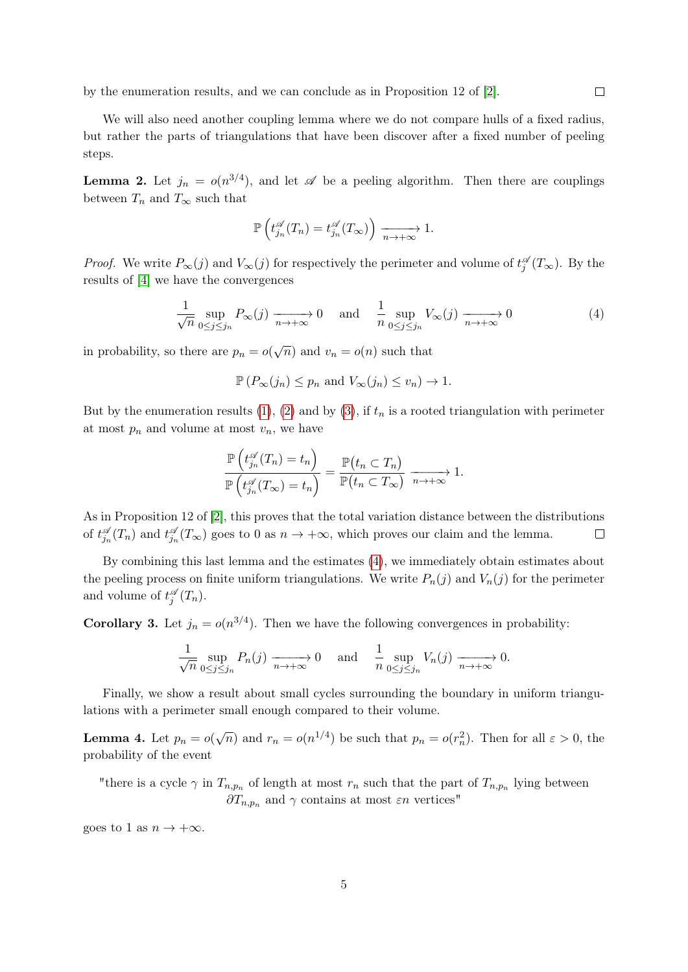by the enumeration results, and we can conclude as in Proposition 12 of [\[2\]](#page-8-1).

We will also need another coupling lemma where we do not compare hulls of a fixed radius, but rather the parts of triangulations that have been discover after a fixed number of peeling steps.

**Lemma 2.** Let  $j_n = o(n^{3/4})$ , and let  $\mathscr A$  be a peeling algorithm. Then there are couplings between  $T_n$  and  $T_\infty$  such that

$$
\mathbb{P}\left(t_{j_n}^{\mathscr{A}}(T_n) = t_{j_n}^{\mathscr{A}}(T_\infty)\right) \xrightarrow[n \to +\infty]{} 1.
$$

*Proof.* We write  $P_{\infty}(j)$  and  $V_{\infty}(j)$  for respectively the perimeter and volume of  $t_j^{\mathscr{A}}(T_{\infty})$ . By the results of [\[4\]](#page-9-8) we have the convergences

<span id="page-4-0"></span>
$$
\frac{1}{\sqrt{n}} \sup_{0 \le j \le j_n} P_{\infty}(j) \xrightarrow[n \to +\infty]{} 0 \quad \text{and} \quad \frac{1}{n} \sup_{0 \le j \le j_n} V_{\infty}(j) \xrightarrow[n \to +\infty]{} 0 \tag{4}
$$

in probability, so there are  $p_n = o(\sqrt{n})$  and  $v_n = o(n)$  such that

$$
\mathbb{P}(P_{\infty}(j_n) \leq p_n \text{ and } V_{\infty}(j_n) \leq v_n) \to 1.
$$

But by the enumeration results [\(1\)](#page-2-1), [\(2\)](#page-2-2) and by [\(3\)](#page-2-3), if  $t_n$  is a rooted triangulation with perimeter at most  $p_n$  and volume at most  $v_n$ , we have

$$
\frac{\mathbb{P}\left(t_{j_n}^{\mathscr{A}}(T_n)=t_n\right)}{\mathbb{P}\left(t_{j_n}^{\mathscr{A}}(T_\infty)=t_n\right)}=\frac{\mathbb{P}(t_n\subset T_n)}{\mathbb{P}(t_n\subset T_\infty)}\xrightarrow[n\to+\infty]{}1.
$$

As in Proposition 12 of [\[2\]](#page-8-1), this proves that the total variation distance between the distributions of  $t_{j_n}^{\mathscr{A}}(T_n)$  and  $t_{j_n}^{\mathscr{A}}(T_\infty)$  goes to 0 as  $n \to +\infty$ , which proves our claim and the lemma.  $\Box$ 

By combining this last lemma and the estimates [\(4\)](#page-4-0), we immediately obtain estimates about the peeling process on finite uniform triangulations. We write  $P_n(j)$  and  $V_n(j)$  for the perimeter and volume of  $t_j^{\mathscr{A}}(T_n)$ .

<span id="page-4-2"></span>**Corollary 3.** Let  $j_n = o(n^{3/4})$ . Then we have the following convergences in probability:

$$
\frac{1}{\sqrt{n}} \sup_{0 \le j \le j_n} P_n(j) \xrightarrow[n \to +\infty]{} 0 \quad \text{and} \quad \frac{1}{n} \sup_{0 \le j \le j_n} V_n(j) \xrightarrow[n \to +\infty]{} 0.
$$

Finally, we show a result about small cycles surrounding the boundary in uniform triangulations with a perimeter small enough compared to their volume.

<span id="page-4-1"></span>**Lemma 4.** Let  $p_n = o(\sqrt{n})$  and  $r_n = o(n^{1/4})$  be such that  $p_n = o(r_n^2)$ . Then for all  $\varepsilon > 0$ , the probability of the event

"there is a cycle  $\gamma$  in  $T_{n,p_n}$  of length at most  $r_n$  such that the part of  $T_{n,p_n}$  lying between  $\partial T_{n,p_n}$  and  $\gamma$  contains at most  $\varepsilon n$  vertices"

goes to 1 as  $n \to +\infty$ .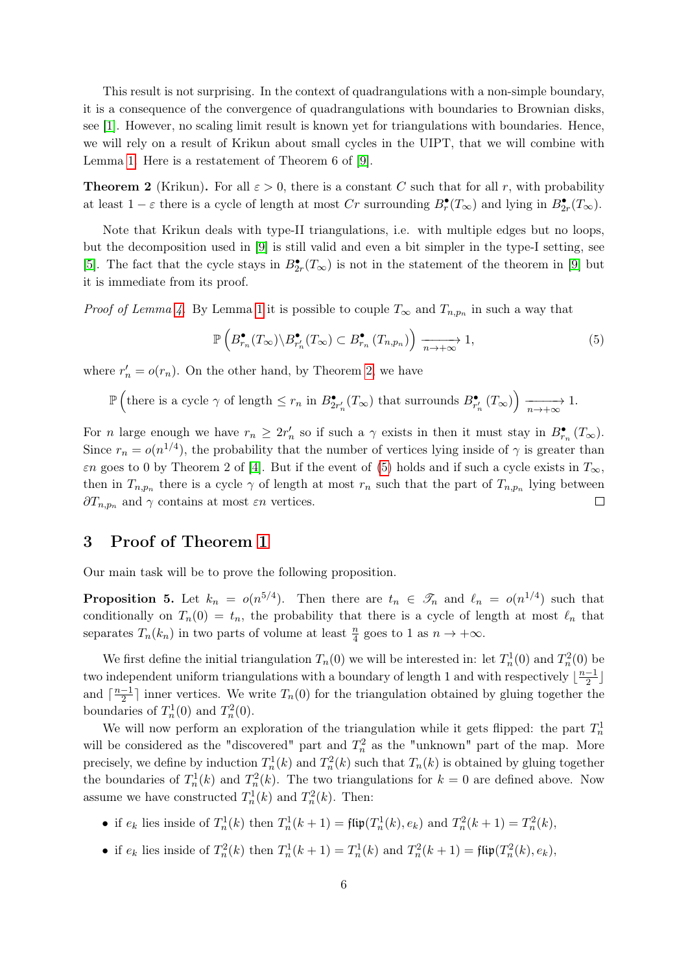This result is not surprising. In the context of quadrangulations with a non-simple boundary, it is a consequence of the convergence of quadrangulations with boundaries to Brownian disks, see [\[1\]](#page-8-2). However, no scaling limit result is known yet for triangulations with boundaries. Hence, we will rely on a result of Krikun about small cycles in the UIPT, that we will combine with Lemma [1.](#page-2-0) Here is a restatement of Theorem 6 of [\[9\]](#page-9-9).

<span id="page-5-0"></span>**Theorem 2** (Krikun). For all  $\varepsilon > 0$ , there is a constant C such that for all r, with probability at least  $1 - \varepsilon$  there is a cycle of length at most Cr surrounding  $B_r^{\bullet}(T_{\infty})$  and lying in  $B_{2r}^{\bullet}(T_{\infty})$ .

Note that Krikun deals with type-II triangulations, i.e. with multiple edges but no loops, but the decomposition used in [\[9\]](#page-9-9) is still valid and even a bit simpler in the type-I setting, see [\[5\]](#page-9-12). The fact that the cycle stays in  $B_{2r}^{\bullet}(T_{\infty})$  is not in the statement of the theorem in [\[9\]](#page-9-9) but it is immediate from its proof.

*Proof of Lemma [4.](#page-4-1)* By Lemma [1](#page-2-0) it is possible to couple  $T_{\infty}$  and  $T_{n,p_n}$  in such a way that

<span id="page-5-1"></span>
$$
\mathbb{P}\left(B_{r_n}^{\bullet}(T_{\infty})\backslash B_{r'_n}^{\bullet}(T_{\infty})\subset B_{r_n}^{\bullet}(T_{n,p_n})\right)\xrightarrow[n\to+\infty]{}1,
$$
\n(5)

where  $r'_n = o(r_n)$ . On the other hand, by Theorem [2,](#page-5-0) we have

$$
\mathbb{P}\left(\text{there is a cycle }\gamma\text{ of length }\leq r_n \text{ in } B_{2r'_n}^{\bullet}(T_{\infty}) \text{ that surroundings } B_{r'_n}^{\bullet}(T_{\infty})\right) \xrightarrow[n \to +\infty]{} 1.
$$

For *n* large enough we have  $r_n \geq 2r'_n$  so if such a  $\gamma$  exists in then it must stay in  $B_{r_n}^{\bullet}(T_{\infty})$ . Since  $r_n = o(n^{1/4})$ , the probability that the number of vertices lying inside of  $\gamma$  is greater than  $\varepsilon$ n goes to 0 by Theorem 2 of [\[4\]](#page-9-8). But if the event of [\(5\)](#page-5-1) holds and if such a cycle exists in  $T_{\infty}$ , then in  $T_{n,p_n}$  there is a cycle  $\gamma$  of length at most  $r_n$  such that the part of  $T_{n,p_n}$  lying between  $\partial T_{n,p_n}$  and  $\gamma$  contains at most  $\varepsilon n$  vertices.  $\Box$ 

#### 3 Proof of Theorem [1](#page-1-1)

Our main task will be to prove the following proposition.

<span id="page-5-2"></span>**Proposition 5.** Let  $k_n = o(n^{5/4})$ . Then there are  $t_n \in \mathcal{T}_n$  and  $\ell_n = o(n^{1/4})$  such that conditionally on  $T_n(0) = t_n$ , the probability that there is a cycle of length at most  $\ell_n$  that separates  $T_n(k_n)$  in two parts of volume at least  $\frac{n}{4}$  goes to 1 as  $n \to +\infty$ .

We first define the initial triangulation  $T_n(0)$  we will be interested in: let  $T_n^1(0)$  and  $T_n^2(0)$  be two independent uniform triangulations with a boundary of length 1 and with respectively  $\lfloor \frac{n-1}{2} \rfloor$  $\frac{-1}{2}$ and  $\lceil \frac{n-1}{2} \rceil$  $\frac{-1}{2}$  inner vertices. We write  $T_n(0)$  for the triangulation obtained by gluing together the boundaries of  $T_n^1(0)$  and  $T_n^2(0)$ .

We will now perform an exploration of the triangulation while it gets flipped: the part  $T_n^1$ will be considered as the "discovered" part and  $T_n^2$  as the "unknown" part of the map. More precisely, we define by induction  $T_n^1(k)$  and  $T_n^2(k)$  such that  $T_n(k)$  is obtained by gluing together the boundaries of  $T_n^1(k)$  and  $T_n^2(k)$ . The two triangulations for  $k = 0$  are defined above. Now assume we have constructed  $T_n^1(k)$  and  $T_n^2(k)$ . Then:

- if  $e_k$  lies inside of  $T_n^1(k)$  then  $T_n^1(k+1) = \text{flip}(T_n^1(k), e_k)$  and  $T_n^2(k+1) = T_n^2(k)$ ,
- if  $e_k$  lies inside of  $T_n^2(k)$  then  $T_n^1(k+1) = T_n^1(k)$  and  $T_n^2(k+1) = \text{flip}(T_n^2(k), e_k)$ ,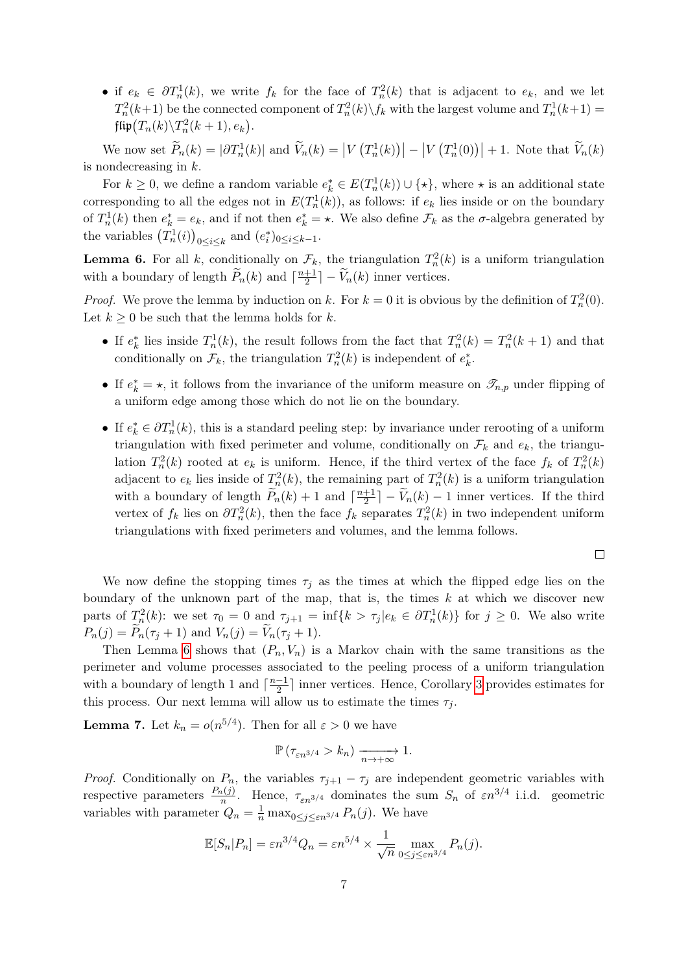• if  $e_k \in \partial T_n^1(k)$ , we write  $f_k$  for the face of  $T_n^2(k)$  that is adjacent to  $e_k$ , and we let  $T_n^2(k+1)$  be the connected component of  $T_n^2(k)\backslash f_k$  with the largest volume and  $T_n^1(k+1)$  =  $\mathfrak{flip}\big(T_n(k)\backslash T^2_n(k+1),e_k\big).$ 

We now set  $\widetilde{P}_n(k) = |\partial T_n^1(k)|$  and  $\widetilde{V}_n(k) = |V(T_n^1(k))| - |V(T_n^1(0))| + 1$ . Note that  $\widetilde{V}_n(k)$ is nondecreasing in k.

For  $k \geq 0$ , we define a random variable  $e_k^* \in E(T_n^1(k)) \cup \{ \star \}$ , where  $\star$  is an additional state corresponding to all the edges not in  $E(T_n^1(k))$ , as follows: if  $e_k$  lies inside or on the boundary of  $T_n^1(k)$  then  $e_k^* = e_k$ , and if not then  $e_k^* = \star$ . We also define  $\mathcal{F}_k$  as the  $\sigma$ -algebra generated by the variables  $(T_n^1(i))_{0 \le i \le k}$  and  $(e_i^*)_{0 \le i \le k-1}$ .

<span id="page-6-0"></span>**Lemma 6.** For all k, conditionally on  $\mathcal{F}_k$ , the triangulation  $T_n^2(k)$  is a uniform triangulation with a boundary of length  $\widetilde{P}_n(k)$  and  $\lceil \frac{n+1}{2} \rceil$  $\frac{+1}{2}$ ] –  $V_n(k)$  inner vertices.

*Proof.* We prove the lemma by induction on k. For  $k = 0$  it is obvious by the definition of  $T_n^2(0)$ . Let  $k \geq 0$  be such that the lemma holds for k.

- If  $e_k^*$  lies inside  $T_n^1(k)$ , the result follows from the fact that  $T_n^2(k) = T_n^2(k+1)$  and that conditionally on  $\mathcal{F}_k$ , the triangulation  $T_n^2(k)$  is independent of  $e_k^*$ .
- If  $e_k^* = \star$ , it follows from the invariance of the uniform measure on  $\mathcal{I}_{n,p}$  under flipping of a uniform edge among those which do not lie on the boundary.
- If  $e_k^* \in \partial T_n^1(k)$ , this is a standard peeling step: by invariance under rerooting of a uniform triangulation with fixed perimeter and volume, conditionally on  $\mathcal{F}_k$  and  $e_k$ , the triangulation  $T_n^2(k)$  rooted at  $e_k$  is uniform. Hence, if the third vertex of the face  $f_k$  of  $T_n^2(k)$ adjacent to  $e_k$  lies inside of  $T_n^2(k)$ , the remaining part of  $T_n^2(k)$  is a uniform triangulation with a boundary of length  $\widetilde{P}_n(k) + 1$  and  $\lceil \frac{n+1}{2} \rceil$  $\frac{+1}{2}$  –  $V_n(k)$  – 1 inner vertices. If the third vertex of  $f_k$  lies on  $\partial T_n^2(k)$ , then the face  $f_k$  separates  $T_n^2(k)$  in two independent uniform triangulations with fixed perimeters and volumes, and the lemma follows.

 $\Box$ 

We now define the stopping times  $\tau_i$  as the times at which the flipped edge lies on the boundary of the unknown part of the map, that is, the times  $k$  at which we discover new parts of  $T_n^2(k)$ : we set  $\tau_0 = 0$  and  $\tau_{j+1} = \inf\{k > \tau_j | e_k \in \partial T_n^1(k)\}\$  for  $j \geq 0$ . We also write  $P_n(j) = P_n(\tau_j + 1)$  and  $V_n(j) = V_n(\tau_j + 1)$ .

Then Lemma [6](#page-6-0) shows that  $(P_n, V_n)$  is a Markov chain with the same transitions as the perimeter and volume processes associated to the peeling process of a uniform triangulation with a boundary of length 1 and  $\lceil \frac{n-1}{2} \rceil$  $\frac{-1}{2}$  inner vertices. Hence, Corollary [3](#page-4-2) provides estimates for this process. Our next lemma will allow us to estimate the times  $\tau_j$ .

<span id="page-6-1"></span>**Lemma 7.** Let  $k_n = o(n^{5/4})$ . Then for all  $\varepsilon > 0$  we have

$$
\mathbb{P}\left(\tau_{\varepsilon n^{3/4}} > k_n\right) \xrightarrow[n \to +\infty]{} 1.
$$

*Proof.* Conditionally on  $P_n$ , the variables  $\tau_{i+1} - \tau_i$  are independent geometric variables with respective parameters  $\frac{P_n(j)}{n}$ . Hence,  $\tau_{\varepsilon n^{3/4}}$  dominates the sum  $S_n$  of  $\varepsilon n^{3/4}$  i.i.d. geometric variables with parameter  $Q_n = \frac{1}{n} \max_{0 \le j \le \varepsilon n^{3/4}} P_n(j)$ . We have

$$
\mathbb{E}[S_n|P_n] = \varepsilon n^{3/4} Q_n = \varepsilon n^{5/4} \times \frac{1}{\sqrt{n}} \max_{0 \le j \le \varepsilon n^{3/4}} P_n(j).
$$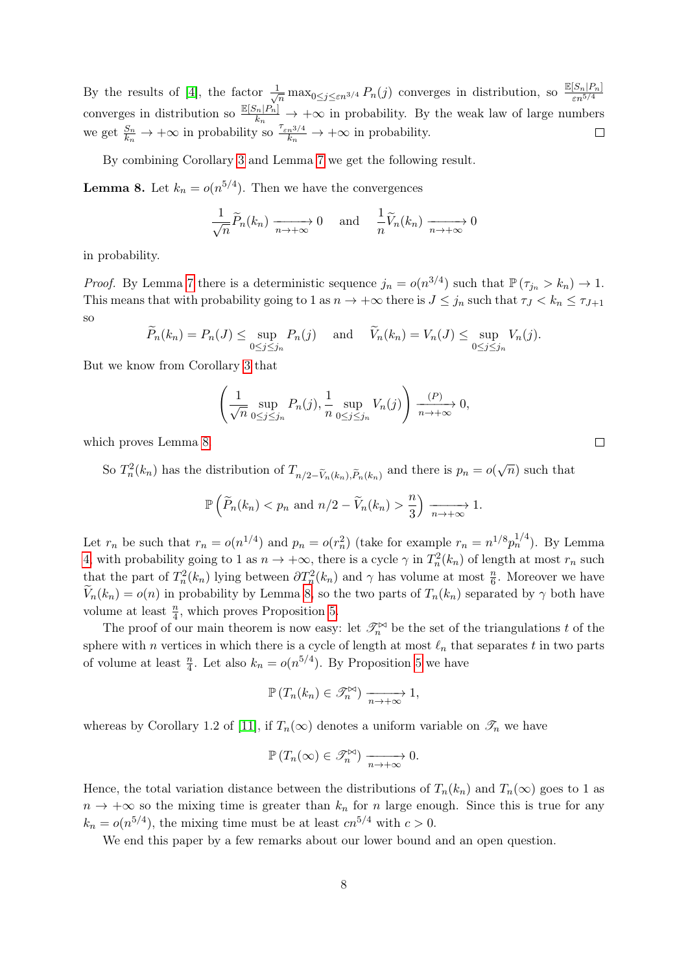By the results of [\[4\]](#page-9-8), the factor  $\frac{1}{\sqrt{n}} \max_{0 \leq j \leq \varepsilon n^{3/4}} P_n(j)$  converges in distribution, so  $\frac{\mathbb{E}[S_n|P_n]}{\varepsilon n^{5/4}}$ converges in distribution so  $\frac{\mathbb{E}[S_n]P_n}{k_n} \to +\infty$  in probability. By the weak law of large numbers we get  $\frac{S_n}{k_n} \to +\infty$  in probability so  $\frac{\tau_{\varepsilon n}^{3/4}}{k_n} \to +\infty$  in probability.  $\Box$ 

By combining Corollary [3](#page-4-2) and Lemma [7](#page-6-1) we get the following result.

<span id="page-7-0"></span>**Lemma 8.** Let  $k_n = o(n^{5/4})$ . Then we have the convergences

$$
\frac{1}{\sqrt{n}}\widetilde{P}_n(k_n) \xrightarrow[n \to +\infty]{} 0 \quad \text{and} \quad \frac{1}{n}\widetilde{V}_n(k_n) \xrightarrow[n \to +\infty]{} 0
$$

in probability.

*Proof.* By Lemma [7](#page-6-1) there is a deterministic sequence  $j_n = o(n^{3/4})$  such that  $\mathbb{P}(\tau_{j_n} > k_n) \to 1$ . This means that with probability going to 1 as  $n \to +\infty$  there is  $J \leq j_n$  such that  $\tau_J < k_n \leq \tau_{J+1}$ so

$$
\widetilde{P}_n(k_n) = P_n(J) \le \sup_{0 \le j \le j_n} P_n(j) \quad \text{and} \quad \widetilde{V}_n(k_n) = V_n(J) \le \sup_{0 \le j \le j_n} V_n(j).
$$

But we know from Corollary [3](#page-4-2) that

$$
\left(\frac{1}{\sqrt{n}}\sup_{0\leq j\leq j_n} P_n(j),\frac{1}{n}\sup_{0\leq j\leq j_n} V_n(j)\right) \xrightarrow[n\to+\infty]{} 0,
$$

which proves Lemma [8.](#page-7-0)

So  $T_n^2(k_n)$  has the distribution of  $T_{n/2-\tilde{V}_n(k_n),\tilde{P}_n(k_n)}$  and there is  $p_n = o(\sqrt{n})$  such that

$$
\mathbb{P}\left(\widetilde{P}_n(k_n)< p_n \text{ and } n/2-\widetilde{V}_n(k_n)>\frac{n}{3}\right) \xrightarrow[n\to+\infty]{} 1.
$$

Let  $r_n$  be such that  $r_n = o(n^{1/4})$  and  $p_n = o(r_n^2)$  (take for example  $r_n = n^{1/8} p_n^{1/4}$ ). By Lemma [4,](#page-4-1) with probability going to 1 as  $n \to +\infty$ , there is a cycle  $\gamma$  in  $T_n^2(k_n)$  of length at most  $r_n$  such that the part of  $T_n^2(k_n)$  lying between  $\partial T_n^2(k_n)$  and  $\gamma$  has volume at most  $\frac{n}{6}$ . Moreover we have  $V_n(k_n) = o(n)$  in probability by Lemma [8,](#page-7-0) so the two parts of  $T_n(k_n)$  separated by  $\gamma$  both have volume at least  $\frac{n}{4}$ , which proves Proposition [5.](#page-5-2)

The proof of our main theorem is now easy: let  $\mathcal{I}_n^{\bowtie}$  be the set of the triangulations t of the sphere with n vertices in which there is a cycle of length at most  $\ell_n$  that separates t in two parts of volume at least  $\frac{n}{4}$ . Let also  $k_n = o(n^{5/4})$ . By Proposition [5](#page-5-2) we have

$$
\mathbb{P}\left(T_n(k_n)\in\mathcal{I}_n^{\bowtie}\right)\xrightarrow[n\to+\infty]{}1,
$$

whereas by Corollary 1.2 of [\[11\]](#page-9-10), if  $T_n(\infty)$  denotes a uniform variable on  $\mathscr{T}_n$  we have

$$
\mathbb{P}\left(T_n(\infty) \in \mathcal{I}_n^{\bowtie}\right) \xrightarrow[n \to +\infty]{} 0.
$$

Hence, the total variation distance between the distributions of  $T_n(k_n)$  and  $T_n(\infty)$  goes to 1 as  $n \to +\infty$  so the mixing time is greater than  $k_n$  for n large enough. Since this is true for any  $k_n = o(n^{5/4})$ , the mixing time must be at least  $cn^{5/4}$  with  $c > 0$ .

We end this paper by a few remarks about our lower bound and an open question.

 $\Box$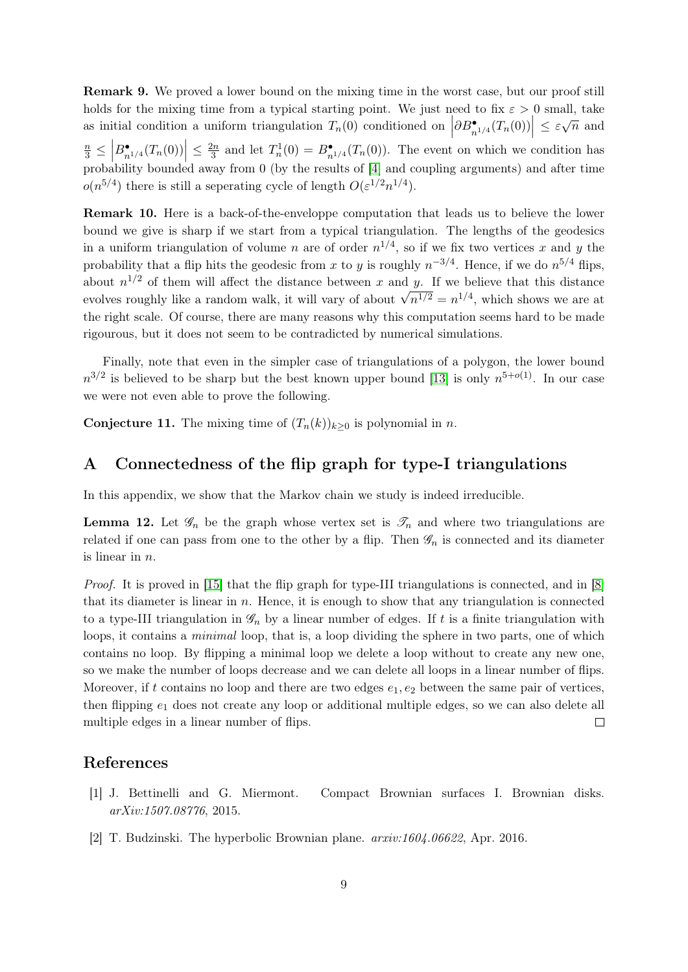Remark 9. We proved a lower bound on the mixing time in the worst case, but our proof still holds for the mixing time from a typical starting point. We just need to fix  $\varepsilon > 0$  small, take as initial condition a uniform triangulation  $T_n(0)$  conditioned on  $\left|\frac{\partial B_{n^{1/4}}^{\bullet}(T_n(0))}{\partial B_{n^{1/4}}^{\bullet}(T_n(0))}\right| \leq \varepsilon \sqrt{n}$  and  $\frac{n}{3} \leq$  $\left| B_{n^{1/4}}^{\bullet}(T_n(0)) \right| \leq \frac{2n}{3}$  $\frac{2n}{3}$  and let  $T_n^1(0) = B_{n^{1/4}}^{\bullet}(T_n(0))$ . The event on which we condition has probability bounded away from 0 (by the results of [\[4\]](#page-9-8) and coupling arguments) and after time  $o(n^{5/4})$  there is still a seperating cycle of length  $O(\varepsilon^{1/2}n^{1/4})$ .

Remark 10. Here is a back-of-the-enveloppe computation that leads us to believe the lower bound we give is sharp if we start from a typical triangulation. The lengths of the geodesics in a uniform triangulation of volume n are of order  $n^{1/4}$ , so if we fix two vertices x and y the probability that a flip hits the geodesic from x to y is roughly  $n^{-3/4}$ . Hence, if we do  $n^{5/4}$  flips, about  $n^{1/2}$  of them will affect the distance between x and y. If we believe that this distance about *n*  $\prime$  of them will affect the distance between *x* and *y*. If we believe that this distance<br>evolves roughly like a random walk, it will vary of about  $\sqrt{n^{1/2}} = n^{1/4}$ , which shows we are at the right scale. Of course, there are many reasons why this computation seems hard to be made rigourous, but it does not seem to be contradicted by numerical simulations.

Finally, note that even in the simpler case of triangulations of a polygon, the lower bound  $n^{3/2}$  is believed to be sharp but the best known upper bound [\[13\]](#page-9-5) is only  $n^{5+o(1)}$ . In our case we were not even able to prove the following.

**Conjecture 11.** The mixing time of  $(T_n(k))_{k\geq 0}$  is polynomial in n.

## A Connectedness of the flip graph for type-I triangulations

In this appendix, we show that the Markov chain we study is indeed irreducible.

<span id="page-8-0"></span>**Lemma 12.** Let  $\mathscr{G}_n$  be the graph whose vertex set is  $\mathscr{T}_n$  and where two triangulations are related if one can pass from one to the other by a flip. Then  $\mathscr{G}_n$  is connected and its diameter is linear in  $n$ .

Proof. It is proved in [\[15\]](#page-9-2) that the flip graph for type-III triangulations is connected, and in [\[8\]](#page-9-3) that its diameter is linear in  $n$ . Hence, it is enough to show that any triangulation is connected to a type-III triangulation in  $\mathscr{G}_n$  by a linear number of edges. If t is a finite triangulation with loops, it contains a *minimal* loop, that is, a loop dividing the sphere in two parts, one of which contains no loop. By flipping a minimal loop we delete a loop without to create any new one, so we make the number of loops decrease and we can delete all loops in a linear number of flips. Moreover, if t contains no loop and there are two edges  $e_1, e_2$  between the same pair of vertices, then flipping  $e_1$  does not create any loop or additional multiple edges, so we can also delete all multiple edges in a linear number of flips.  $\Box$ 

#### References

- <span id="page-8-2"></span>[1] J. Bettinelli and G. Miermont. Compact Brownian surfaces I. Brownian disks. arXiv:1507.08776, 2015.
- <span id="page-8-1"></span>[2] T. Budzinski. The hyperbolic Brownian plane. arxiv:1604.06622, Apr. 2016.